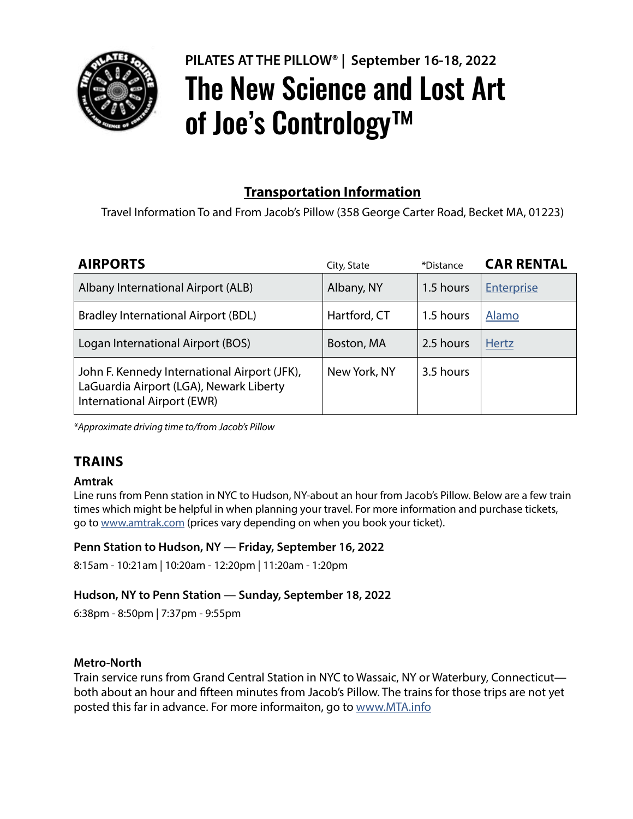

# **PILATES AT THE PILLOW® | September 16-18, 2022** The New Science and Lost Art of Joe's Contrology<sup>™</sup>

# **Transportation Information**

Travel Information To and From Jacob's Pillow (358 George Carter Road, Becket MA, 01223)

| <b>AIRPORTS</b>                                                                                                        | City, State  | *Distance | <b>CAR RENTAL</b> |
|------------------------------------------------------------------------------------------------------------------------|--------------|-----------|-------------------|
| Albany International Airport (ALB)                                                                                     | Albany, NY   | 1.5 hours | <b>Enterprise</b> |
| <b>Bradley International Airport (BDL)</b>                                                                             | Hartford, CT | 1.5 hours | Alamo             |
| Logan International Airport (BOS)                                                                                      | Boston, MA   | 2.5 hours | <b>Hertz</b>      |
| John F. Kennedy International Airport (JFK),<br>LaGuardia Airport (LGA), Newark Liberty<br>International Airport (EWR) | New York, NY | 3.5 hours |                   |

*\*Approximate driving time to/from Jacob's Pillow*

# **TRAINS**

#### **Amtrak**

Line runs from Penn station in NYC to Hudson, NY-about an hour from Jacob's Pillow. Below are a few train times which might be helpful in when planning your travel. For more information and purchase tickets, go to www.amtrak.com (prices vary depending on when you book your ticket).

#### **Penn Station to Hudson, NY — Friday, September 16, 2022**

8:15am - 10:21am | 10:20am - 12:20pm | 11:20am - 1:20pm

## **Hudson, NY to Penn Station — Sunday, September 18, 2022**

6:38pm - 8:50pm | 7:37pm - 9:55pm

## **Metro-North**

Train service runs from Grand Central Station in NYC to Wassaic, NY or Waterbury, Connecticut both about an hour and fifteen minutes from Jacob's Pillow. The trains for those trips are not yet posted this far in advance. For more informaiton, go to www.MTA.info